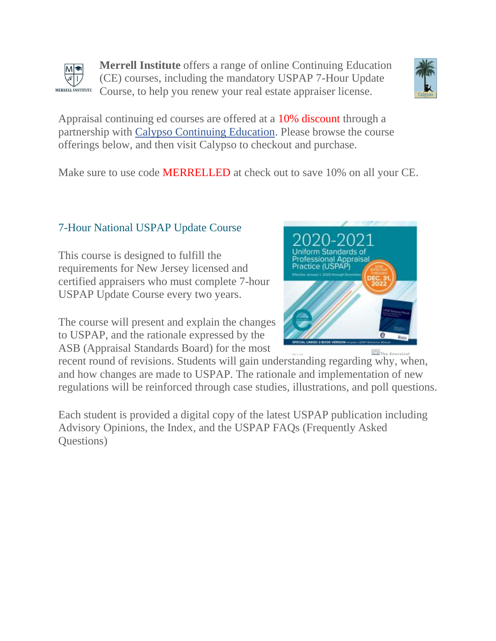



Appraisal continuing ed courses are offered at a 10% discount through a partnership with [Calypso Continuing Education.](https://www.calypsoedu.com/appraisal/) Please browse the course offerings below, and then visit Calypso to checkout and purchase.

Make sure to use code MERRELLED at check out to save 10% on all your CE.

# 7-Hour National USPAP Update Course

This course is designed to fulfill the requirements for New Jersey licensed and certified appraisers who must complete 7-hour USPAP Update Course every two years.

The course will present and explain the changes to USPAP, and the rationale expressed by the ASB (Appraisal Standards Board) for the most



**ES** The Annexical recent round of revisions. Students will gain understanding regarding why, when, and how changes are made to USPAP. The rationale and implementation of new regulations will be reinforced through case studies, illustrations, and poll questions.

Each student is provided a digital copy of the latest USPAP publication including Advisory Opinions, the Index, and the USPAP FAQs (Frequently Asked Questions)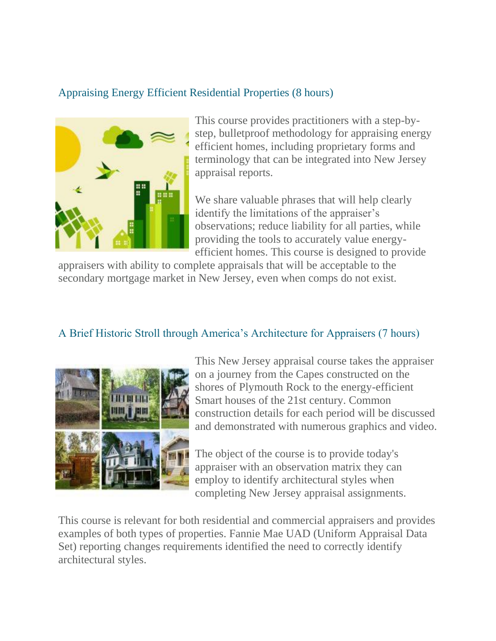### Appraising Energy Efficient Residential Properties (8 hours)



This course provides practitioners with a step-bystep, bulletproof methodology for appraising energy efficient homes, including proprietary forms and terminology that can be integrated into New Jersey appraisal reports.

We share valuable phrases that will help clearly identify the limitations of the appraiser's observations; reduce liability for all parties, while providing the tools to accurately value energyefficient homes. This course is designed to provide

appraisers with ability to complete appraisals that will be acceptable to the secondary mortgage market in New Jersey, even when comps do not exist.

### A Brief Historic Stroll through America's Architecture for Appraisers (7 hours)



This New Jersey appraisal course takes the appraiser on a journey from the Capes constructed on the shores of Plymouth Rock to the energy-efficient Smart houses of the 21st century. Common construction details for each period will be discussed and demonstrated with numerous graphics and video.

The object of the course is to provide today's appraiser with an observation matrix they can employ to identify architectural styles when completing New Jersey appraisal assignments.

This course is relevant for both residential and commercial appraisers and provides examples of both types of properties. Fannie Mae UAD (Uniform Appraisal Data Set) reporting changes requirements identified the need to correctly identify architectural styles.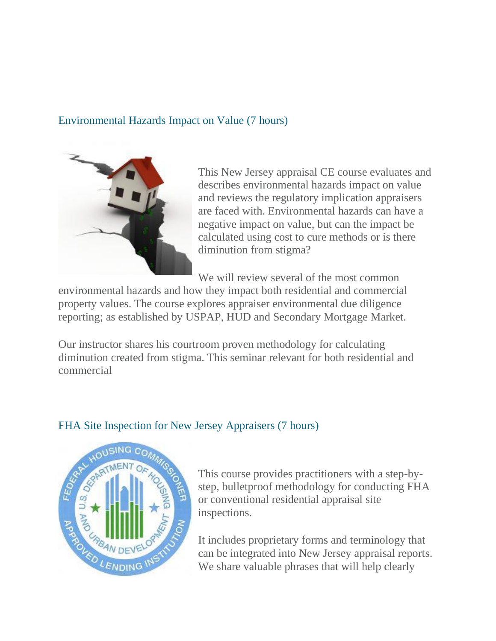#### Environmental Hazards Impact on Value (7 hours)



This New Jersey appraisal CE course evaluates and describes environmental hazards impact on value and reviews the regulatory implication appraisers are faced with. Environmental hazards can have a negative impact on value, but can the impact be calculated using cost to cure methods or is there diminution from stigma?

We will review several of the most common

environmental hazards and how they impact both residential and commercial property values. The course explores appraiser environmental due diligence reporting; as established by USPAP, HUD and Secondary Mortgage Market.

Our instructor shares his courtroom proven methodology for calculating diminution created from stigma. This seminar relevant for both residential and commercial



#### FHA Site Inspection for New Jersey Appraisers (7 hours)

This course provides practitioners with a step-bystep, bulletproof methodology for conducting FHA or conventional residential appraisal site inspections.

It includes proprietary forms and terminology that can be integrated into New Jersey appraisal reports. We share valuable phrases that will help clearly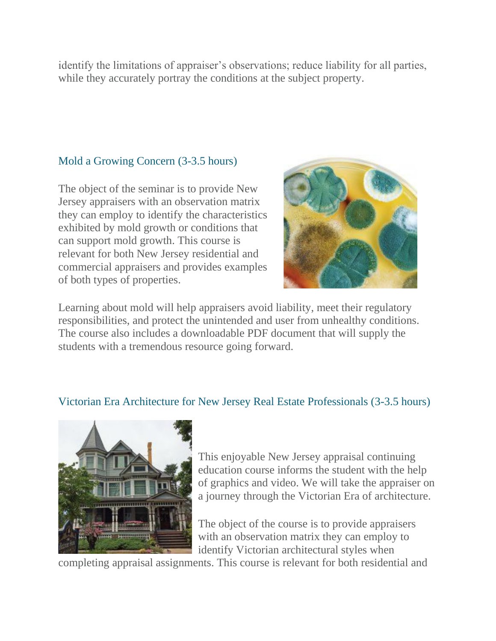identify the limitations of appraiser's observations; reduce liability for all parties, while they accurately portray the conditions at the subject property.

### Mold a Growing Concern (3-3.5 hours)

The object of the seminar is to provide New Jersey appraisers with an observation matrix they can employ to identify the characteristics exhibited by mold growth or conditions that can support mold growth. This course is relevant for both New Jersey residential and commercial appraisers and provides examples of both types of properties.



Learning about mold will help appraisers avoid liability, meet their regulatory responsibilities, and protect the unintended and user from unhealthy conditions. The course also includes a downloadable PDF document that will supply the students with a tremendous resource going forward.

#### Victorian Era Architecture for New Jersey Real Estate Professionals (3-3.5 hours)



This enjoyable New Jersey appraisal continuing education course informs the student with the help of graphics and video. We will take the appraiser on a journey through the Victorian Era of architecture.

The object of the course is to provide appraisers with an observation matrix they can employ to identify Victorian architectural styles when

completing appraisal assignments. This course is relevant for both residential and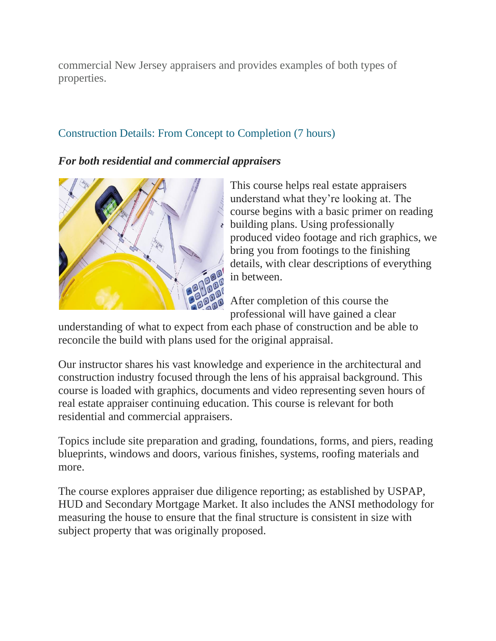commercial New Jersey appraisers and provides examples of both types of properties.

## Construction Details: From Concept to Completion (7 hours)

*For both residential and commercial appraisers*



This course helps real estate appraisers understand what they're looking at. The course begins with a basic primer on reading  $\epsilon$  building plans. Using professionally produced video footage and rich graphics, we bring you from footings to the finishing details, with clear descriptions of everything in between.

After completion of this course the professional will have gained a clear

understanding of what to expect from each phase of construction and be able to reconcile the build with plans used for the original appraisal.

Our instructor shares his vast knowledge and experience in the architectural and construction industry focused through the lens of his appraisal background. This course is loaded with graphics, documents and video representing seven hours of real estate appraiser continuing education. This course is relevant for both residential and commercial appraisers.

Topics include site preparation and grading, foundations, forms, and piers, reading blueprints, windows and doors, various finishes, systems, roofing materials and more.

The course explores appraiser due diligence reporting; as established by USPAP, HUD and Secondary Mortgage Market. It also includes the ANSI methodology for measuring the house to ensure that the final structure is consistent in size with subject property that was originally proposed.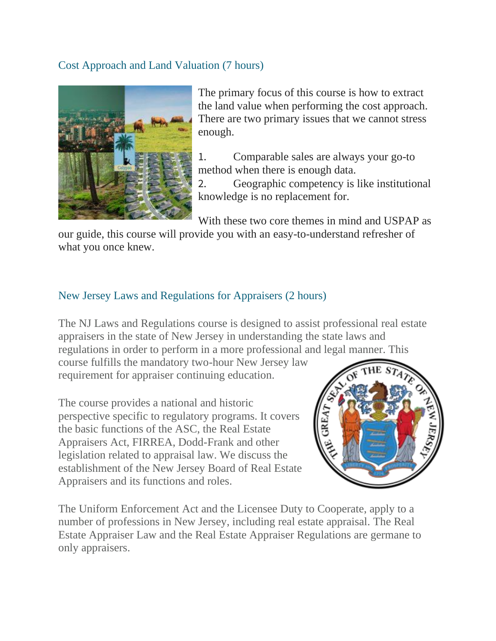#### Cost Approach and Land Valuation (7 hours)



The primary focus of this course is how to extract the land value when performing the cost approach. There are two primary issues that we cannot stress enough.

1. Comparable sales are always your go-to method when there is enough data.

2. Geographic competency is like institutional knowledge is no replacement for.

With these two core themes in mind and USPAP as

our guide, this course will provide you with an easy-to-understand refresher of what you once knew.

### New Jersey Laws and Regulations for Appraisers (2 hours)

The NJ Laws and Regulations course is designed to assist professional real estate appraisers in the state of New Jersey in understanding the state laws and regulations in order to perform in a more professional and legal manner. This

course fulfills the mandatory two-hour New Jersey law requirement for appraiser continuing education.

The course provides a national and historic perspective specific to regulatory programs. It covers the basic functions of the ASC, the Real Estate Appraisers Act, FIRREA, Dodd-Frank and other legislation related to appraisal law. We discuss the establishment of the New Jersey Board of Real Estate Appraisers and its functions and roles.



The Uniform Enforcement Act and the Licensee Duty to Cooperate, apply to a number of professions in New Jersey, including real estate appraisal. The Real Estate Appraiser Law and the Real Estate Appraiser Regulations are germane to only appraisers.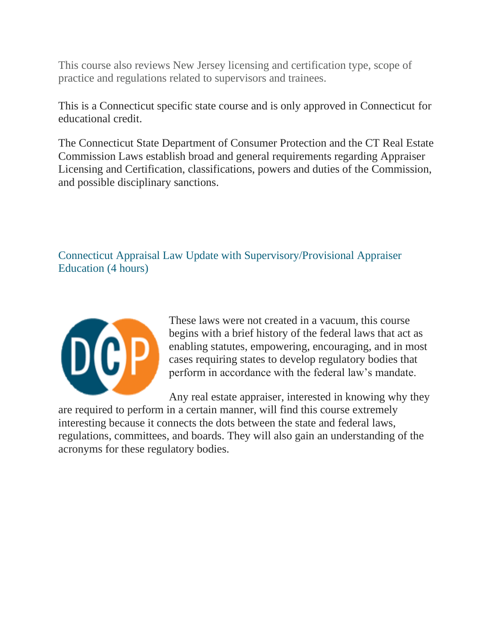This course also reviews New Jersey licensing and certification type, scope of practice and regulations related to supervisors and trainees.

This is a Connecticut specific state course and is only approved in Connecticut for educational credit.

The Connecticut State Department of Consumer Protection and the CT Real Estate Commission Laws establish broad and general requirements regarding Appraiser Licensing and Certification, classifications, powers and duties of the Commission, and possible disciplinary sanctions.

Connecticut Appraisal Law Update with Supervisory/Provisional Appraiser Education (4 hours)



These laws were not created in a vacuum, this course begins with a brief history of the federal laws that act as enabling statutes, empowering, encouraging, and in most cases requiring states to develop regulatory bodies that perform in accordance with the federal law's mandate.

Any real estate appraiser, interested in knowing why they are required to perform in a certain manner, will find this course extremely interesting because it connects the dots between the state and federal laws, regulations, committees, and boards. They will also gain an understanding of the acronyms for these regulatory bodies.